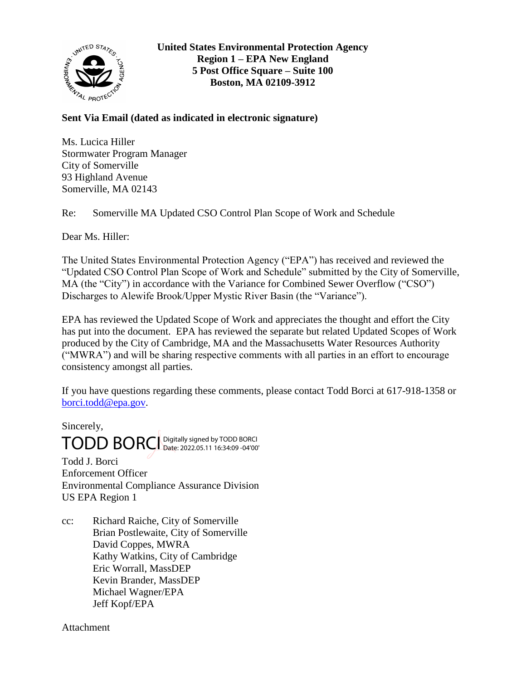

# **Sent Via Email (dated as indicated in electronic signature)**

Ms. Lucica Hiller Stormwater Program Manager City of Somerville 93 Highland Avenue Somerville, MA 02143

Re: Somerville MA Updated CSO Control Plan Scope of Work and Schedule

Dear Ms. Hiller:

The United States Environmental Protection Agency ("EPA") has received and reviewed the "Updated CSO Control Plan Scope of Work and Schedule" submitted by the City of Somerville, MA (the "City") in accordance with the Variance for Combined Sewer Overflow ("CSO") Discharges to Alewife Brook/Upper Mystic River Basin (the "Variance").

EPA has reviewed the Updated Scope of Work and appreciates the thought and effort the City has put into the document. EPA has reviewed the separate but related Updated Scopes of Work produced by the City of Cambridge, MA and the Massachusetts Water Resources Authority ("MWRA") and will be sharing respective comments with all parties in an effort to encourage consistency amongst all parties.

If you have questions regarding these comments, please contact Todd Borci at 617-918-1358 or [borci.todd@epa.gov.](mailto:borci.todd@epa.gov)

Sincerely, TODD BORCI Digitally signed by TODD BORCI Date: 2022.05.11 16:34:09 -04'00'

Todd J. Borci Enforcement Officer Environmental Compliance Assurance Division US EPA Region 1

cc: Richard Raiche, City of Somerville Brian Postlewaite, City of Somerville David Coppes, MWRA Kathy Watkins, City of Cambridge Eric Worrall, MassDEP Kevin Brander, MassDEP Michael Wagner/EPA Jeff Kopf/EPA

**Attachment**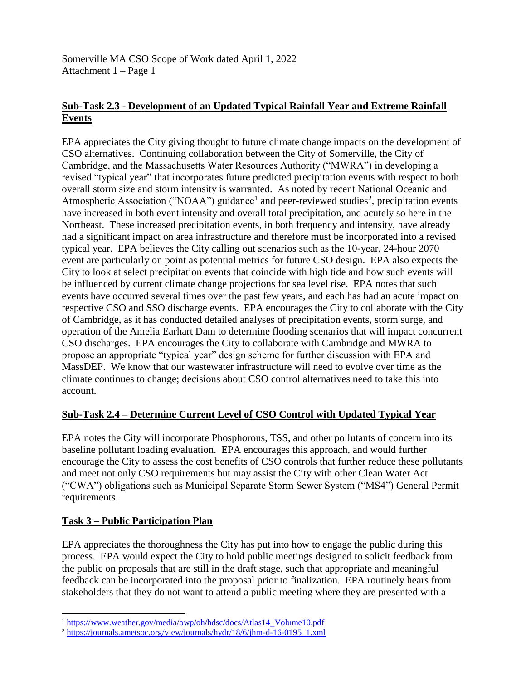Somerville MA CSO Scope of Work dated April 1, 2022 Attachment 1 – Page 1

## **Sub-Task 2.3 - Development of an Updated Typical Rainfall Year and Extreme Rainfall Events**

EPA appreciates the City giving thought to future climate change impacts on the development of CSO alternatives. Continuing collaboration between the City of Somerville, the City of Cambridge, and the Massachusetts Water Resources Authority ("MWRA") in developing a revised "typical year" that incorporates future predicted precipitation events with respect to both overall storm size and storm intensity is warranted. As noted by recent National Oceanic and Atmospheric Association ("NOAA") guidance<sup>1</sup> and peer-reviewed studies<sup>2</sup>, precipitation events have increased in both event intensity and overall total precipitation, and acutely so here in the Northeast. These increased precipitation events, in both frequency and intensity, have already had a significant impact on area infrastructure and therefore must be incorporated into a revised typical year. EPA believes the City calling out scenarios such as the 10-year, 24-hour 2070 event are particularly on point as potential metrics for future CSO design. EPA also expects the City to look at select precipitation events that coincide with high tide and how such events will be influenced by current climate change projections for sea level rise. EPA notes that such events have occurred several times over the past few years, and each has had an acute impact on respective CSO and SSO discharge events. EPA encourages the City to collaborate with the City of Cambridge, as it has conducted detailed analyses of precipitation events, storm surge, and operation of the Amelia Earhart Dam to determine flooding scenarios that will impact concurrent CSO discharges. EPA encourages the City to collaborate with Cambridge and MWRA to propose an appropriate "typical year" design scheme for further discussion with EPA and MassDEP. We know that our wastewater infrastructure will need to evolve over time as the climate continues to change; decisions about CSO control alternatives need to take this into account.

#### **Sub-Task 2.4 – Determine Current Level of CSO Control with Updated Typical Year**

EPA notes the City will incorporate Phosphorous, TSS, and other pollutants of concern into its baseline pollutant loading evaluation. EPA encourages this approach, and would further encourage the City to assess the cost benefits of CSO controls that further reduce these pollutants and meet not only CSO requirements but may assist the City with other Clean Water Act ("CWA") obligations such as Municipal Separate Storm Sewer System ("MS4") General Permit requirements.

#### **Task 3 – Public Participation Plan**

 $\overline{a}$ 

EPA appreciates the thoroughness the City has put into how to engage the public during this process. EPA would expect the City to hold public meetings designed to solicit feedback from the public on proposals that are still in the draft stage, such that appropriate and meaningful feedback can be incorporated into the proposal prior to finalization. EPA routinely hears from stakeholders that they do not want to attend a public meeting where they are presented with a

<sup>&</sup>lt;sup>1</sup> [https://www.weather.gov/media/owp/oh/hdsc/docs/Atlas14\\_Volume10.pdf](https://www.weather.gov/media/owp/oh/hdsc/docs/Atlas14_Volume10.pdf)

<sup>2</sup> [https://journals.ametsoc.org/view/journals/hydr/18/6/jhm-d-16-0195\\_1.xml](https://journals.ametsoc.org/view/journals/hydr/18/6/jhm-d-16-0195_1.xml)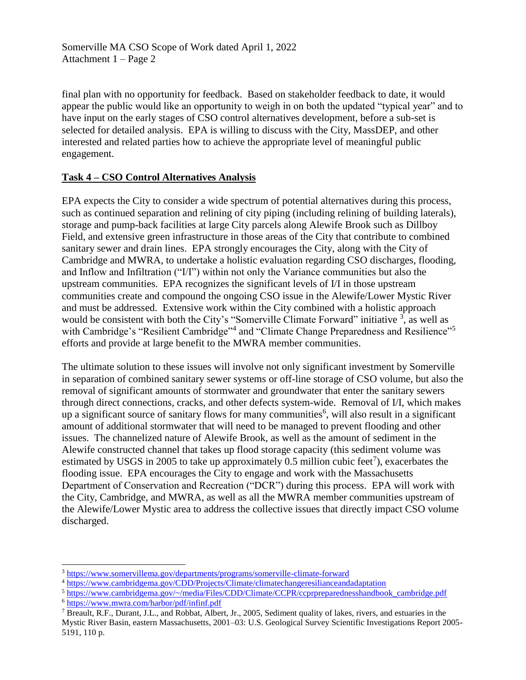Somerville MA CSO Scope of Work dated April 1, 2022 Attachment 1 – Page 2

final plan with no opportunity for feedback. Based on stakeholder feedback to date, it would appear the public would like an opportunity to weigh in on both the updated "typical year" and to have input on the early stages of CSO control alternatives development, before a sub-set is selected for detailed analysis. EPA is willing to discuss with the City, MassDEP, and other interested and related parties how to achieve the appropriate level of meaningful public engagement.

#### **Task 4 – CSO Control Alternatives Analysis**

EPA expects the City to consider a wide spectrum of potential alternatives during this process, such as continued separation and relining of city piping (including relining of building laterals), storage and pump-back facilities at large City parcels along Alewife Brook such as Dillboy Field, and extensive green infrastructure in those areas of the City that contribute to combined sanitary sewer and drain lines. EPA strongly encourages the City, along with the City of Cambridge and MWRA, to undertake a holistic evaluation regarding CSO discharges, flooding, and Inflow and Infiltration ("I/I") within not only the Variance communities but also the upstream communities. EPA recognizes the significant levels of I/I in those upstream communities create and compound the ongoing CSO issue in the Alewife/Lower Mystic River and must be addressed. Extensive work within the City combined with a holistic approach would be consistent with both the City's "Somerville Climate Forward" initiative  $3$ , as well as with Cambridge's "Resilient Cambridge"<sup>4</sup> and "Climate Change Preparedness and Resilience"<sup>5</sup> efforts and provide at large benefit to the MWRA member communities.

The ultimate solution to these issues will involve not only significant investment by Somerville in separation of combined sanitary sewer systems or off-line storage of CSO volume, but also the removal of significant amounts of stormwater and groundwater that enter the sanitary sewers through direct connections, cracks, and other defects system-wide. Removal of I/I, which makes up a significant source of sanitary flows for many communities<sup>6</sup>, will also result in a significant amount of additional stormwater that will need to be managed to prevent flooding and other issues. The channelized nature of Alewife Brook, as well as the amount of sediment in the Alewife constructed channel that takes up flood storage capacity (this sediment volume was estimated by USGS in 2005 to take up approximately 0.5 million cubic feet<sup>7</sup>), exacerbates the flooding issue. EPA encourages the City to engage and work with the Massachusetts Department of Conservation and Recreation ("DCR") during this process. EPA will work with the City, Cambridge, and MWRA, as well as all the MWRA member communities upstream of the Alewife/Lower Mystic area to address the collective issues that directly impact CSO volume discharged.

<sup>6</sup> <https://www.mwra.com/harbor/pdf/infinf.pdf>

 $\overline{a}$ 

<sup>3</sup> <https://www.somervillema.gov/departments/programs/somerville-climate-forward>

<sup>4</sup> <https://www.cambridgema.gov/CDD/Projects/Climate/climatechangeresilianceandadaptation>

<sup>5</sup> [https://www.cambridgema.gov/~/media/Files/CDD/Climate/CCPR/ccprpreparednesshandbook\\_cambridge.pdf](https://www.cambridgema.gov/~/media/Files/CDD/Climate/CCPR/ccprpreparednesshandbook_cambridge.pdf)

<sup>7</sup> Breault, R.F., Durant, J.L., and Robbat, Albert, Jr., 2005, Sediment quality of lakes, rivers, and estuaries in the Mystic River Basin, eastern Massachusetts, 2001–03: U.S. Geological Survey Scientific Investigations Report 2005- 5191, 110 p.